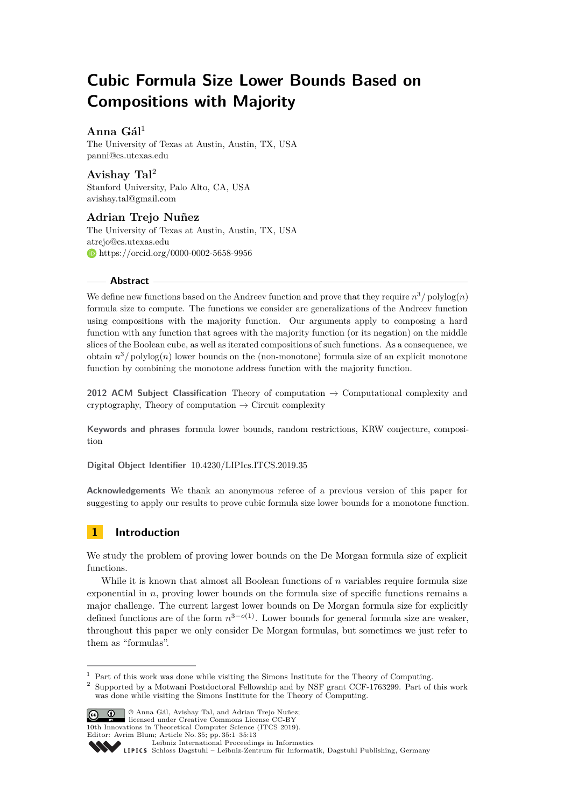# **Cubic Formula Size Lower Bounds Based on Compositions with Majority**

# **Anna Gál**<sup>1</sup>

The University of Texas at Austin, Austin, TX, USA [panni@cs.utexas.edu](mailto:panni@cs.utexas.edu)

**Avishay Tal**<sup>2</sup> Stanford University, Palo Alto, CA, USA [avishay.tal@gmail.com](mailto:avishay.tal@gmail.com)

**Adrian Trejo Nuñez** The University of Texas at Austin, Austin, TX, USA [atrejo@cs.utexas.edu](mailto:atrejo@cs.utexas.edu) [https://orcid.org/0000-0002-5658-9956](https://orcid.org/0000-0002-5658-9956 )

## **Abstract**

We define new functions based on the Andreev function and prove that they require  $n^3$  / polylog $(n)$ formula size to compute. The functions we consider are generalizations of the Andreev function using compositions with the majority function. Our arguments apply to composing a hard function with any function that agrees with the majority function (or its negation) on the middle slices of the Boolean cube, as well as iterated compositions of such functions. As a consequence, we obtain  $n^3$ / $\text{polylog}(n)$  lower bounds on the (non-monotone) formula size of an explicit monotone function by combining the monotone address function with the majority function.

**2012 ACM Subject Classification** Theory of computation → Computational complexity and cryptography, Theory of computation  $\rightarrow$  Circuit complexity

**Keywords and phrases** formula lower bounds, random restrictions, KRW conjecture, composition

**Digital Object Identifier** [10.4230/LIPIcs.ITCS.2019.35](https://doi.org/10.4230/LIPIcs.ITCS.2019.35)

**Acknowledgements** We thank an anonymous referee of a previous version of this paper for suggesting to apply our results to prove cubic formula size lower bounds for a monotone function.

# **1 Introduction**

We study the problem of proving lower bounds on the De Morgan formula size of explicit functions.

While it is known that almost all Boolean functions of *n* variables require formula size exponential in *n*, proving lower bounds on the formula size of specific functions remains a major challenge. The current largest lower bounds on De Morgan formula size for explicitly defined functions are of the form  $n^{3-o(1)}$ . Lower bounds for general formula size are weaker, throughout this paper we only consider De Morgan formulas, but sometimes we just refer to them as "formulas".

<sup>2</sup> Supported by a Motwani Postdoctoral Fellowship and by NSF grant CCF-1763299. Part of this work was done while visiting the Simons Institute for the Theory of Computing.



© Anna Gál, Avishay Tal, and Adrian Trejo Nuñez; licensed under Creative Commons License CC-BY

10th Innovations in Theoretical Computer Science (ITCS 2019). Editor: Avrim Blum; Article No. 35; pp. 35:1–35[:13](#page-12-0)

 $^{\rm 1}$  Part of this work was done while visiting the Simons Institute for the Theory of Computing.

[Leibniz International Proceedings in Informatics](http://www.dagstuhl.de/lipics/)

Leibniz International Froceedings in miormatics<br>
LIPICS [Schloss Dagstuhl – Leibniz-Zentrum für Informatik, Dagstuhl Publishing, Germany](http://www.dagstuhl.de)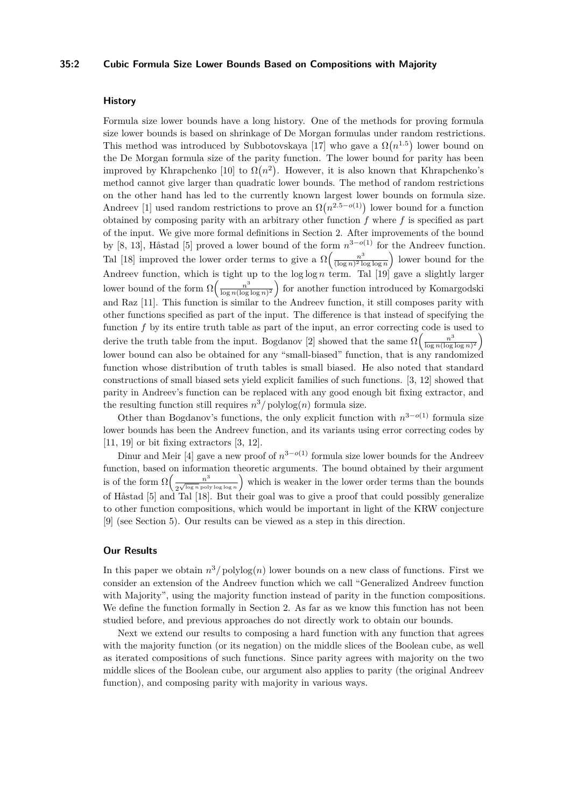#### **35:2 Cubic Formula Size Lower Bounds Based on Compositions with Majority**

### **History**

Formula size lower bounds have a long history. One of the methods for proving formula size lower bounds is based on shrinkage of De Morgan formulas under random restrictions. This method was introduced by Subbotovskaya [\[17\]](#page-12-1) who gave a  $\Omega(n^{1.5})$  lower bound on the De Morgan formula size of the parity function. The lower bound for parity has been improved by Khrapchenko [\[10\]](#page-12-2) to  $\Omega(n^2)$ . However, it is also known that Khrapchenko's method cannot give larger than quadratic lower bounds. The method of random restrictions on the other hand has led to the currently known largest lower bounds on formula size. Andreev [\[1\]](#page-11-0) used random restrictions to prove an  $\Omega(n^{2.5-o(1)})$  lower bound for a function obtained by composing parity with an arbitrary other function *f* where *f* is specified as part of the input. We give more formal definitions in Section [2.](#page-2-0) After improvements of the bound by [\[8,](#page-11-1) [13\]](#page-12-3), Håstad [\[5\]](#page-11-2) proved a lower bound of the form *n* <sup>3</sup>−*o*(1) for the Andreev function. Tal [\[18\]](#page-12-4) improved the lower order terms to give a  $\Omega\left(\frac{n^3}{(\log n)^2}\right)$  $\frac{n^3}{(\log n)^2 \log \log n}$  lower bound for the Andreev function, which is tight up to the log log *n* term. Tal [\[19\]](#page-12-5) gave a slightly larger lower bound of the form  $\Omega\left(\frac{n^3}{\log n (\log n)}\right)$  $\frac{n^3}{\log n (\log \log n)^2}$  for another function introduced by Komargodski and Raz [\[11\]](#page-12-6). This function is similar to the Andreev function, it still composes parity with other functions specified as part of the input. The difference is that instead of specifying the function f by its entire truth table as part of the input, an error correcting code is used to derive the truth table from the input. Bogdanov [\[2\]](#page-11-3) showed that the same  $\Omega\left(\frac{n^3}{\log n/\log n}\right)$  $\frac{n^3}{\log n (\log \log n)^2}$ lower bound can also be obtained for any "small-biased" function, that is any randomized function whose distribution of truth tables is small biased. He also noted that standard constructions of small biased sets yield explicit families of such functions. [\[3,](#page-11-4) [12\]](#page-12-7) showed that parity in Andreev's function can be replaced with any good enough bit fixing extractor, and the resulting function still requires  $n^3$  /  $\text{polylog}(n)$  formula size.

Other than Bogdanov's functions, the only explicit function with  $n^{3-o(1)}$  formula size lower bounds has been the Andreev function, and its variants using error correcting codes by  $[11, 19]$  $[11, 19]$  or bit fixing extractors  $[3, 12]$  $[3, 12]$ .

Dinur and Meir [\[4\]](#page-11-5) gave a new proof of  $n^{3-o(1)}$  formula size lower bounds for the Andreev function, based on information theoretic arguments. The bound obtained by their argument is of the form  $\Omega\left(\frac{n^3}{\sqrt{2\pi n}}\right)$  $\frac{n^3}{2^{\sqrt{\log n} \text{ poly log log n}}}$  which is weaker in the lower order terms than the bounds of Håstad [\[5\]](#page-11-2) and Tal [\[18\]](#page-12-4). But their goal was to give a proof that could possibly generalize to other function compositions, which would be important in light of the KRW conjecture [\[9\]](#page-11-6) (see Section [5\)](#page-11-7). Our results can be viewed as a step in this direction.

# **Our Results**

In this paper we obtain  $n^3/polylog(n)$  lower bounds on a new class of functions. First we consider an extension of the Andreev function which we call "Generalized Andreev function with Majority", using the majority function instead of parity in the function compositions. We define the function formally in Section [2.](#page-2-0) As far as we know this function has not been studied before, and previous approaches do not directly work to obtain our bounds.

Next we extend our results to composing a hard function with any function that agrees with the majority function (or its negation) on the middle slices of the Boolean cube, as well as iterated compositions of such functions. Since parity agrees with majority on the two middle slices of the Boolean cube, our argument also applies to parity (the original Andreev function), and composing parity with majority in various ways.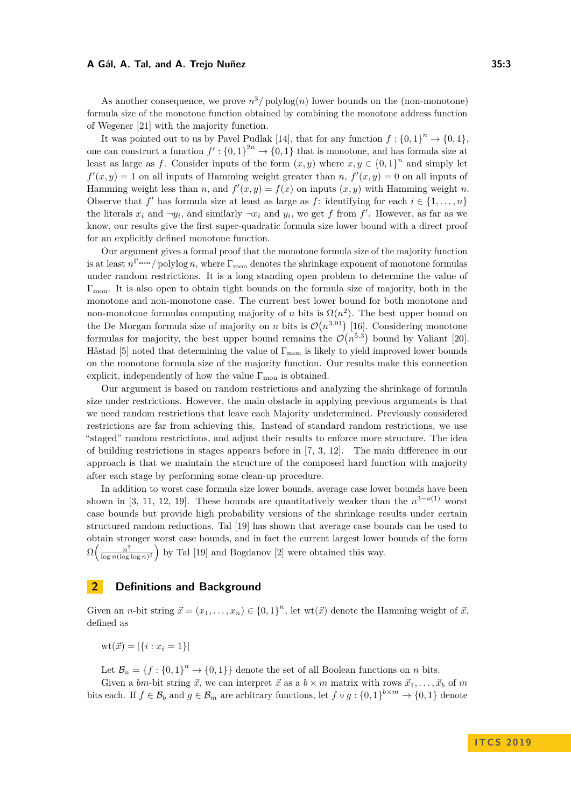As another consequence, we prove  $n^3$ / $\text{polylog}(n)$  lower bounds on the (non-monotone) formula size of the monotone function obtained by combining the monotone address function of Wegener [\[21\]](#page-12-8) with the majority function.

It was pointed out to us by Pavel Pudlak [\[14\]](#page-12-9), that for any function  $f: \{0,1\}^n \to \{0,1\}$ , one can construct a function  $f' : \{0,1\}^{2n} \to \{0,1\}$  that is monotone, and has formula size at least as large as *f*. Consider inputs of the form  $(x, y)$  where  $x, y \in \{0, 1\}^n$  and simply let  $f'(x, y) = 1$  on all inputs of Hamming weight greater than *n*,  $f'(x, y) = 0$  on all inputs of Hamming weight less than *n*, and  $f'(x, y) = f(x)$  on inputs  $(x, y)$  with Hamming weight *n*. Observe that *f*' has formula size at least as large as *f*: identifying for each  $i \in \{1, \ldots, n\}$ the literals  $x_i$  and  $\neg y_i$ , and similarly  $\neg x_i$  and  $y_i$ , we get f from f'. However, as far as we know, our results give the first super-quadratic formula size lower bound with a direct proof for an explicitly defined monotone function.

Our argument gives a formal proof that the monotone formula size of the majority function is at least  $n^{\Gamma_{\text{mon}}}/$  polylog *n*, where  $\Gamma_{\text{mon}}$  denotes the shrinkage exponent of monotone formulas under random restrictions. It is a long standing open problem to determine the value of  $\Gamma_{\rm mon}$ . It is also open to obtain tight bounds on the formula size of majority, both in the monotone and non-monotone case. The current best lower bound for both monotone and non-monotone formulas computing majority of *n* bits is  $\Omega(n^2)$ . The best upper bound on the De Morgan formula size of majority on *n* bits is  $\mathcal{O}(n^{3.91})$  [\[16\]](#page-12-10). Considering monotone formulas for majority, the best upper bound remains the  $\mathcal{O}(n^{5.3})$  bound by Valiant [\[20\]](#page-12-11). Håstad [\[5\]](#page-11-2) noted that determining the value of  $\Gamma_{\rm mon}$  is likely to yield improved lower bounds on the monotone formula size of the majority function. Our results make this connection explicit, independently of how the value  $\Gamma_{\text{mon}}$  is obtained.

Our argument is based on random restrictions and analyzing the shrinkage of formula size under restrictions. However, the main obstacle in applying previous arguments is that we need random restrictions that leave each Majority undetermined. Previously considered restrictions are far from achieving this. Instead of standard random restrictions, we use "staged" random restrictions, and adjust their results to enforce more structure. The idea of building restrictions in stages appears before in [\[7,](#page-11-8) [3,](#page-11-4) [12\]](#page-12-7). The main difference in our approach is that we maintain the structure of the composed hard function with majority after each stage by performing some clean-up procedure.

In addition to worst case formula size lower bounds, average case lower bounds have been shown in [\[3,](#page-11-4) [11,](#page-12-6) [12,](#page-12-7) [19\]](#page-12-5). These bounds are quantitatively weaker than the  $n^{3-o(1)}$  worst case bounds but provide high probability versions of the shrinkage results under certain structured random reductions. Tal [\[19\]](#page-12-5) has shown that average case bounds can be used to obtain stronger worst case bounds, and in fact the current largest lower bounds of the form  $\Omega\left(\frac{n^3}{\log n (\log n)}\right)$  $\frac{n^3}{\log n(\log \log n)^2}$  by Tal [\[19\]](#page-12-5) and Bogdanov [\[2\]](#page-11-3) were obtained this way.

# <span id="page-2-0"></span>**2 Definitions and Background**

Given an *n*-bit string  $\vec{x} = (x_1, \ldots, x_n) \in \{0, 1\}^n$ , let wt $(\vec{x})$  denote the Hamming weight of  $\vec{x}$ , defined as

 $\text{wt}(\vec{x}) = |\{i : x_i = 1\}|$ 

Let  $\mathcal{B}_n = \{f : \{0,1\}^n \to \{0,1\}\}\$  denote the set of all Boolean functions on *n* bits.

Given a *bm*-bit string  $\vec{x}$ , we can interpret  $\vec{x}$  as a  $b \times m$  matrix with rows  $\vec{x}_1, \ldots, \vec{x}_b$  of  $m$ bits each. If  $f \in \mathcal{B}_b$  and  $g \in \mathcal{B}_m$  are arbitrary functions, let  $f \circ g : \{0,1\}^{b \times m} \to \{0,1\}$  denote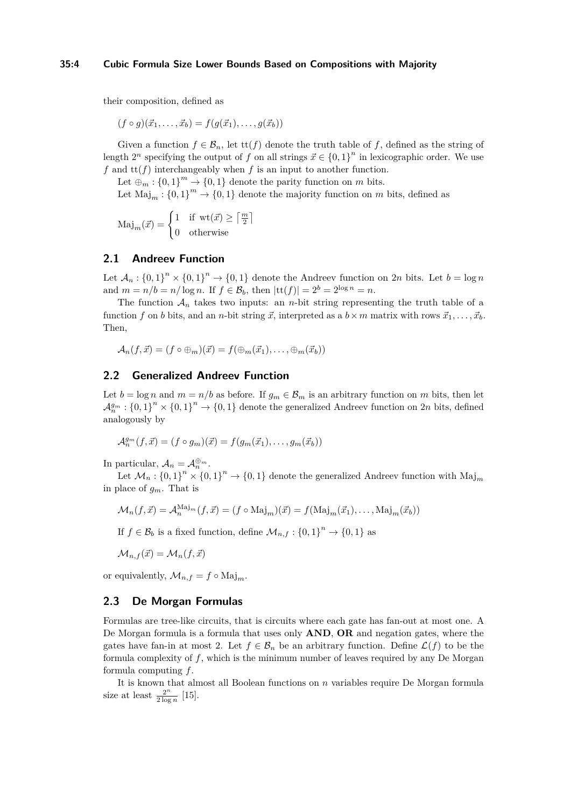#### **35:4 Cubic Formula Size Lower Bounds Based on Compositions with Majority**

their composition, defined as

 $(f \circ g)(\vec{x}_1, \ldots, \vec{x}_b) = f(g(\vec{x}_1), \ldots, g(\vec{x}_b))$ 

Given a function  $f \in \mathcal{B}_n$ , let  $\text{tt}(f)$  denote the truth table of f, defined as the string of length  $2^n$  specifying the output of *f* on all strings  $\vec{x} \in \{0,1\}^n$  in lexicographic order. We use  $f$  and  $\text{tt}(f)$  interchangeably when  $f$  is an input to another function.

Let  $\bigoplus_m : \{0,1\}^m \to \{0,1\}$  denote the parity function on *m* bits.

Let  $\text{Maj}_m: \{0,1\}^m \to \{0,1\}$  denote the majority function on *m* bits, defined as

$$
\mathrm{Maj}_m(\vec{x}) = \begin{cases} 1 & \text{if } \mathrm{wt}(\vec{x}) \ge \lceil \frac{m}{2} \rceil \\ 0 & \text{otherwise} \end{cases}
$$

# **2.1 Andreev Function**

Let  $\mathcal{A}_n: \{0,1\}^n \times \{0,1\}^n \to \{0,1\}$  denote the Andreev function on 2*n* bits. Let  $b = \log n$ and  $m = n/b = n/\log n$ . If  $f \in \mathcal{B}_b$ , then  $|{\rm tt}(f)| = 2^b = 2^{\log n} = n$ .

The function  $A_n$  takes two inputs: an *n*-bit string representing the truth table of a function *f* on *b* bits, and an *n*-bit string  $\vec{x}$ , interpreted as a  $b \times m$  matrix with rows  $\vec{x}_1, \ldots, \vec{x}_b$ . Then,

$$
\mathcal{A}_n(f,\vec{x})=(f\circ\oplus_m)(\vec{x})=f(\oplus_m(\vec{x}_1),\ldots,\oplus_m(\vec{x}_b))
$$

# **2.2 Generalized Andreev Function**

Let  $b = \log n$  and  $m = n/b$  as before. If  $g_m \in \mathcal{B}_m$  is an arbitrary function on *m* bits, then let  $A_n^{g_m}$ :  ${0,1}^n \times {0,1}^n \to {0,1}$  denote the generalized Andreev function on 2*n* bits, defined analogously by

$$
\mathcal{A}_n^{g_m}(f,\vec{x}) = (f \circ g_m)(\vec{x}) = f(g_m(\vec{x}_1), \dots, g_m(\vec{x}_b))
$$

In particular,  $A_n = A_n^{\oplus m}$ .

Let  $\mathcal{M}_n: \{0,1\}^n \times \{0,1\}^n \to \{0,1\}$  denote the generalized Andreev function with  $\text{Maj}_m$ in place of *gm*. That is

$$
\mathcal{M}_n(f, \vec{x}) = \mathcal{A}_n^{\text{Maj}_m}(f, \vec{x}) = (f \circ \text{Maj}_m)(\vec{x}) = f(\text{Maj}_m(\vec{x}_1), \dots, \text{Maj}_m(\vec{x}_b))
$$

If  $f \in \mathcal{B}_b$  is a fixed function, define  $\mathcal{M}_{n,f} : \{0,1\}^n \to \{0,1\}$  as

$$
\mathcal{M}_{n,f}(\vec{x}) = \mathcal{M}_n(f,\vec{x})
$$

or equivalently,  $\mathcal{M}_{n,f} = f \circ \text{Maj}_m$ .

### **2.3 De Morgan Formulas**

Formulas are tree-like circuits, that is circuits where each gate has fan-out at most one. A De Morgan formula is a formula that uses only **AND**, **OR** and negation gates, where the gates have fan-in at most 2. Let  $f \in \mathcal{B}_n$  be an arbitrary function. Define  $\mathcal{L}(f)$  to be the formula complexity of *f*, which is the minimum number of leaves required by any De Morgan formula computing *f*.

It is known that almost all Boolean functions on *n* variables require De Morgan formula size at least  $\frac{2^n}{2 \log n}$  $\frac{2^n}{2 \log n}$  [\[15\]](#page-12-12).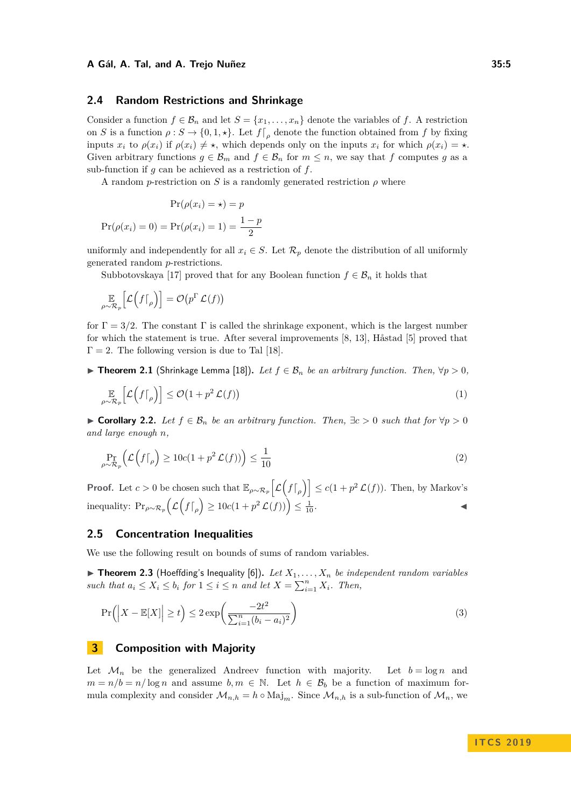### <span id="page-4-0"></span>**2.4 Random Restrictions and Shrinkage**

Consider a function  $f \in \mathcal{B}_n$  and let  $S = \{x_1, \ldots, x_n\}$  denote the variables of *f*. A restriction on *S* is a function  $\rho: S \to \{0, 1, \star\}$ . Let  $f|_{\rho}$  denote the function obtained from *f* by fixing inputs  $x_i$  to  $\rho(x_i)$  if  $\rho(x_i) \neq \star$ , which depends only on the inputs  $x_i$  for which  $\rho(x_i) = \star$ . Given arbitrary functions  $g \in \mathcal{B}_m$  and  $f \in \mathcal{B}_n$  for  $m \leq n$ , we say that f computes g as a sub-function if *g* can be achieved as a restriction of *f*.

A random *p*-restriction on *S* is a randomly generated restriction  $\rho$  where

$$
Pr(\rho(x_i) = \star) = p
$$

$$
Pr(\rho(x_i) = 0) = Pr(\rho(x_i) = 1) = \frac{1 - p}{2}
$$

uniformly and independently for all  $x_i \in S$ . Let  $\mathcal{R}_p$  denote the distribution of all uniformly generated random *p*-restrictions.

Subbotovskaya [\[17\]](#page-12-1) proved that for any Boolean function  $f \in \mathcal{B}_n$  it holds that

$$
\mathop{\mathbb{E}}_{\rho \sim \mathcal{R}_p} \Big[ \mathcal{L} \Big( f \big|_{\rho} \Big) \Big] = \mathcal{O} \big( p^{\Gamma} \mathcal{L} (f) \big)
$$

for  $\Gamma = 3/2$ . The constant  $\Gamma$  is called the shrinkage exponent, which is the largest number for which the statement is true. After several improvements [\[8,](#page-11-1) [13\]](#page-12-3), Håstad [\[5\]](#page-11-2) proved that  $\Gamma = 2$ . The following version is due to Tal [\[18\]](#page-12-4).

▶ **Theorem 2.1** (Shrinkage Lemma [\[18\]](#page-12-4)). Let  $f \in \mathcal{B}_n$  be an arbitrary function. Then,  $\forall p > 0$ ,

$$
\mathbb{E}_{\rho \sim \mathcal{R}_p} \left[ \mathcal{L} \left( f \big|_{\rho} \right) \right] \le \mathcal{O} \left( 1 + p^2 \mathcal{L}(f) \right) \tag{1}
$$

<span id="page-4-2"></span>► Corollary 2.2. Let  $f \in \mathcal{B}_n$  be an arbitrary function. Then,  $\exists c > 0$  such that for  $\forall p > 0$ *and large enough n,*

$$
\Pr_{\rho \sim \mathcal{R}_p} \left( \mathcal{L} \left( f \big|_{\rho} \right) \ge 10c(1 + p^2 \mathcal{L}(f)) \right) \le \frac{1}{10} \tag{2}
$$

**Proof.** Let  $c > 0$  be chosen such that  $\mathbb{E}_{\rho \sim \mathcal{R}_p} \left[ \mathcal{L} \left( f \right|_{\rho} \right) \right] \leq c(1 + p^2 \mathcal{L}(f))$ . Then, by Markov's inequality:  $\Pr_{\rho \sim \mathcal{R}_p} \left( \mathcal{L} \left( f \big|_{\rho} \right) \geq 10 c (1 + p^2 \mathcal{L}(f)) \right) \leq \frac{1}{10}.$ 

# **2.5 Concentration Inequalities**

We use the following result on bounds of sums of random variables.

<span id="page-4-1"></span> $\triangleright$  **Theorem 2.3** (Hoeffding's Inequality [\[6\]](#page-11-9)). Let  $X_1, \ldots, X_n$  be independent random variables *such that*  $a_i \leq X_i \leq b_i$  *for*  $1 \leq i \leq n$  *and let*  $X = \sum_{i=1}^n X_i$ *. Then,* 

$$
\Pr\left(\left|X - \mathbb{E}[X]\right| \ge t\right) \le 2\exp\left(\frac{-2t^2}{\sum_{i=1}^n (b_i - a_i)^2}\right) \tag{3}
$$

# **3 Composition with Majority**

Let  $\mathcal{M}_n$  be the generalized Andreev function with majority. Let  $b = \log n$  and  $m = n/b = n/\log n$  and assume  $b, m \in \mathbb{N}$ . Let  $h \in \mathcal{B}_b$  be a function of maximum formula complexity and consider  $\mathcal{M}_{n,h} = h \circ \text{Maj}_m$ . Since  $\mathcal{M}_{n,h}$  is a sub-function of  $\mathcal{M}_n$ , we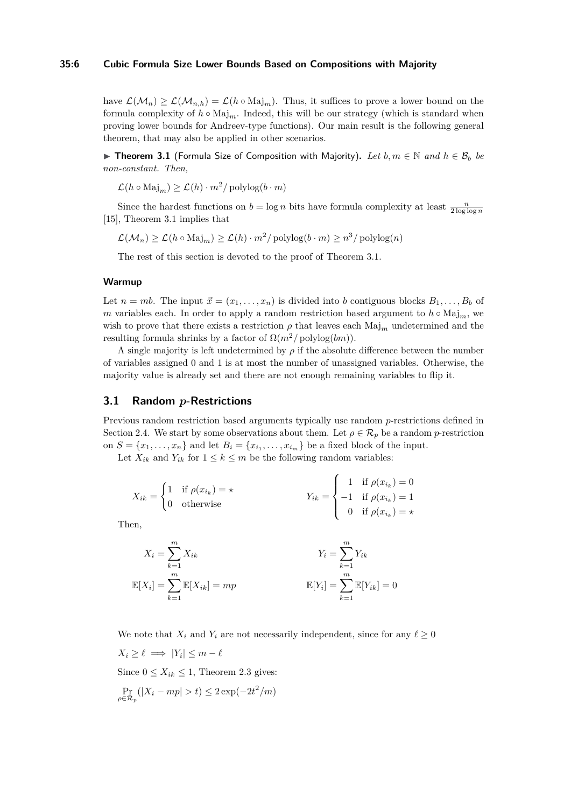#### **35:6 Cubic Formula Size Lower Bounds Based on Compositions with Majority**

have  $\mathcal{L}(\mathcal{M}_n) \geq \mathcal{L}(\mathcal{M}_{n,h}) = \mathcal{L}(h \circ \text{Maj}_m)$ . Thus, it suffices to prove a lower bound on the formula complexity of  $h \circ \text{Maj}_m$ . Indeed, this will be our strategy (which is standard when proving lower bounds for Andreev-type functions). Our main result is the following general theorem, that may also be applied in other scenarios.

<span id="page-5-0"></span>▶ **Theorem 3.1** (Formula Size of Composition with Majority). Let  $b, m \in \mathbb{N}$  and  $h \in \mathcal{B}_b$  be *non-constant. Then,*

 $\mathcal{L}(h \circ \text{Maj}_m) \ge \mathcal{L}(h) \cdot m^2 / \text{polylog}(b \cdot m)$ 

Since the hardest functions on  $b = \log n$  bits have formula complexity at least  $\frac{n}{2 \log \log n}$ [\[15\]](#page-12-12), Theorem [3.1](#page-5-0) implies that

 $\mathcal{L}(\mathcal{M}_n) \geq \mathcal{L}(h \circ \text{Maj}_m) \geq \mathcal{L}(h) \cdot m^2 / \text{polylog}(b \cdot m) \geq n^3 / \text{polylog}(n)$ 

The rest of this section is devoted to the proof of Theorem [3.1.](#page-5-0)

#### **Warmup**

Let  $n = mb$ . The input  $\vec{x} = (x_1, \ldots, x_n)$  is divided into *b* contiguous blocks  $B_1, \ldots, B_b$  of *m* variables each. In order to apply a random restriction based argument to  $h \circ \text{Maj}_m$ , we wish to prove that there exists a restriction  $\rho$  that leaves each Maj<sub>m</sub> undetermined and the resulting formula shrinks by a factor of  $\Omega(m^2/\text{polylog}(bm)).$ 

A single majority is left undetermined by  $\rho$  if the absolute difference between the number of variables assigned 0 and 1 is at most the number of unassigned variables. Otherwise, the majority value is already set and there are not enough remaining variables to flip it.

### **3.1 Random** *p***-Restrictions**

Previous random restriction based arguments typically use random *p*-restrictions defined in Section [2.4.](#page-4-0) We start by some observations about them. Let  $\rho \in \mathcal{R}_p$  be a random *p*-restriction on  $S = \{x_1, \ldots, x_n\}$  and let  $B_i = \{x_{i_1}, \ldots, x_{i_m}\}$  be a fixed block of the input.

Let  $X_{ik}$  and  $Y_{ik}$  for  $1 \leq k \leq m$  be the following random variables:

$$
X_{ik} = \begin{cases} 1 & \text{if } \rho(x_{i_k}) = \star \\ 0 & \text{otherwise} \end{cases}
$$

$$
Y_{ik} = \begin{cases} 1 & \text{if } \rho(x_{i_k}) = 0 \\ -1 & \text{if } \rho(x_{i_k}) = 1 \\ 0 & \text{if } \rho(x_{i_k}) = \star \end{cases}
$$

Then,

$$
X_i = \sum_{k=1}^m X_{ik}
$$
  

$$
\mathbb{E}[X_i] = \sum_{k=1}^m \mathbb{E}[X_{ik}] = mp
$$
  

$$
\mathbb{E}[Y_i] = \sum_{k=1}^m \mathbb{E}[Y_{ik}] = 0
$$

We note that  $X_i$  and  $Y_i$  are not necessarily independent, since for any  $\ell \geq 0$  $X_i \geq \ell \implies |Y_i| \leq m - \ell$ 

Since  $0 \leq X_{ik} \leq 1$ , Theorem [2.3](#page-4-1) gives:  $\Pr_{p \in \mathcal{R}_p} (|X_i - mp| > t) \leq 2 \exp(-2t^2/m)$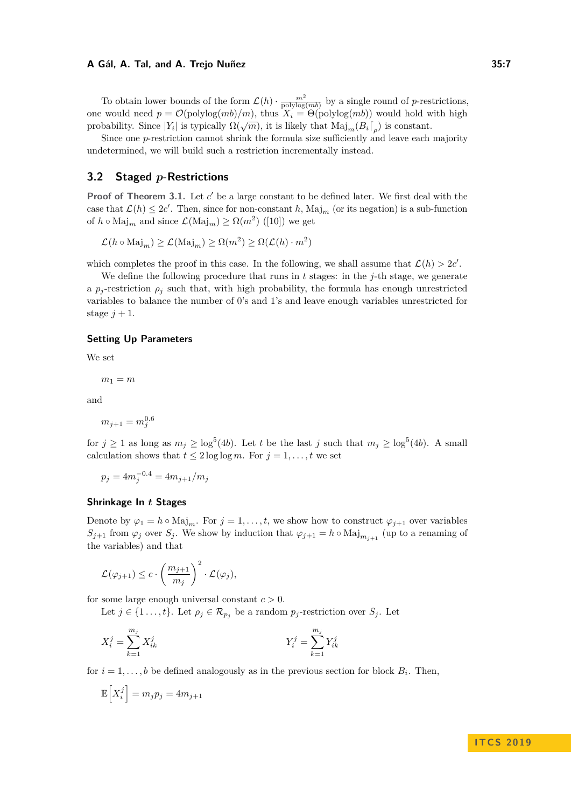To obtain lower bounds of the form  $\mathcal{L}(h) \cdot \frac{m^2}{\text{polylog}(mb)}$  by a single round of *p*-restrictions, one would need  $p = \mathcal{O}(\text{polylog}(mb)/m)$ , thus  $X_i = \Theta(\text{polylog}(mb))$  would hold with high probability. Since  $|Y_i|$  is typically  $\Omega(\sqrt{m})$ , it is likely that  $\text{Maj}_m(B_i\lceil_\rho)$  is constant.

Since one *p*-restriction cannot shrink the formula size sufficiently and leave each majority undetermined, we will build such a restriction incrementally instead.

# **3.2 Staged** *p***-Restrictions**

**Proof of Theorem [3.1.](#page-5-0)** Let  $c'$  be a large constant to be defined later. We first deal with the case that  $\mathcal{L}(h) \leq 2c'$ . Then, since for non-constant h,  $\text{Maj}_m$  (or its negation) is a sub-function of  $h \circ \text{Maj}_m$  and since  $\mathcal{L}(\text{Maj}_m) \ge \Omega(m^2)$  ([\[10\]](#page-12-2)) we get

 $\mathcal{L}(h \circ \text{Maj}_m) \ge \mathcal{L}(\text{Maj}_m) \ge \Omega(m^2) \ge \Omega(\mathcal{L}(h) \cdot m^2)$ 

which completes the proof in this case. In the following, we shall assume that  $\mathcal{L}(h) > 2c'$ .

We define the following procedure that runs in *t* stages: in the *j*-th stage, we generate a  $p_j$ -restriction  $\rho_j$  such that, with high probability, the formula has enough unrestricted variables to balance the number of 0's and 1's and leave enough variables unrestricted for stage  $j + 1$ .

#### **Setting Up Parameters**

We set

$$
m_1=m
$$

and

$$
m_{j+1}=m_j^{0.6}
$$

for  $j \geq 1$  as long as  $m_j \geq \log^5(4b)$ . Let *t* be the last *j* such that  $m_j \geq \log^5(4b)$ . A small calculation shows that  $t \leq 2 \log \log m$ . For  $j = 1, \ldots, t$  we set

$$
p_j = 4m_j^{-0.4} = 4m_{j+1}/m_j
$$

## **Shrinkage In** *t* **Stages**

Denote by  $\varphi_1 = h \circ \text{Maj}_m$ . For  $j = 1, ..., t$ , we show how to construct  $\varphi_{j+1}$  over variables *S*<sub>*j*+1</sub> from  $\varphi_j$  over *S*<sup>*j*</sup>. We show by induction that  $\varphi_{j+1} = h \circ \text{Maj}_{m_{j+1}}$  (up to a renaming of the variables) and that

$$
\mathcal{L}(\varphi_{j+1}) \leq c \cdot \left(\frac{m_{j+1}}{m_j}\right)^2 \cdot \mathcal{L}(\varphi_j),
$$

for some large enough universal constant *c >* 0.

Let  $j \in \{1 \ldots, t\}$ . Let  $\rho_j \in \mathcal{R}_{p_j}$  be a random  $p_j$ -restriction over  $S_j$ . Let

$$
X_i^j = \sum_{k=1}^{m_j} X_{ik}^j
$$
 
$$
Y_i^j = \sum_{k=1}^{m_j} Y_{ik}^j
$$

for  $i = 1, \ldots, b$  be defined analogously as in the previous section for block  $B_i$ . Then,

$$
\mathbb{E}\Big[X_i^j\Big] = m_j p_j = 4m_{j+1}
$$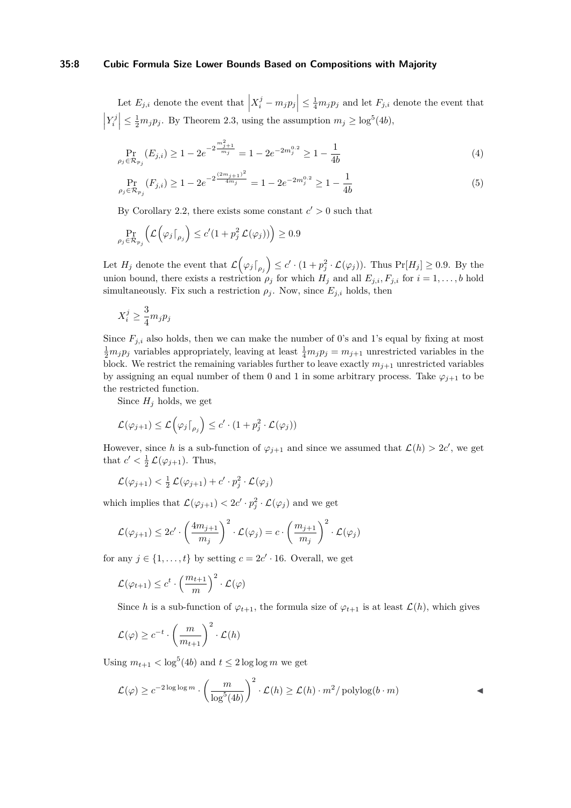#### **35:8 Cubic Formula Size Lower Bounds Based on Compositions with Majority**

Let  $E_{j,i}$  denote the event that  $\left| X_i^j - m_j p_j \right| \leq \frac{1}{4} m_j p_j$  and let  $F_{j,i}$  denote the event that  $\left| Y_i^j \right| \leq \frac{1}{2} m_j p_j$ . By Theorem [2.3,](#page-4-1) using the assumption  $m_j \geq \log^5(4b)$ ,

$$
\Pr_{\rho_j \in \mathcal{R}_{p_j}}(E_{j,i}) \ge 1 - 2e^{-2\frac{m_{j+1}^2}{m_j}} = 1 - 2e^{-2m_j^{0.2}} \ge 1 - \frac{1}{4b}
$$
\n(4)

$$
\Pr_{\rho_j \in \mathcal{R}_{p_j}}(F_{j,i}) \ge 1 - 2e^{-2\frac{(2m_{j+1})^2}{4m_j}} = 1 - 2e^{-2m_j^{0.2}} \ge 1 - \frac{1}{4b}
$$
\n<sup>(5)</sup>

By Corollary [2.2,](#page-4-2) there exists some constant  $c' > 0$  such that

$$
\Pr_{\rho_j \in \mathcal{R}_{p_j}} \left( \mathcal{L} \left( \varphi_j \lceil_{\rho_j} \right) \le c' (1 + p_j^2 \mathcal{L}(\varphi_j)) \right) \ge 0.9
$$

Let  $H_j$  denote the event that  $\mathcal{L}(\varphi_j\lceil_{\rho_j}) \leq c' \cdot (1 + p_j^2 \cdot \mathcal{L}(\varphi_j))$ . Thus  $\Pr[H_j] \geq 0.9$ . By the union bound, there exists a restriction  $\rho_j$  for which  $H_j$  and all  $E_{j,i}, F_{j,i}$  for  $i = 1, \ldots, b$  hold simultaneously. Fix such a restriction  $\rho_j$ . Now, since  $E_{j,i}$  holds, then

$$
X_i^j \ge \frac{3}{4} m_j p_j
$$

Since  $F_{j,i}$  also holds, then we can make the number of 0's and 1's equal by fixing at most  $\frac{1}{2}m_j p_j$  variables appropriately, leaving at least  $\frac{1}{4}m_j p_j = m_{j+1}$  unrestricted variables in the block. We restrict the remaining variables further to leave exactly  $m_{j+1}$  unrestricted variables by assigning an equal number of them 0 and 1 in some arbitrary process. Take  $\varphi_{j+1}$  to be the restricted function.

Since  $H_j$  holds, we get

$$
\mathcal{L}(\varphi_{j+1}) \leq \mathcal{L}(\varphi_j\lceil_{\rho_j}\big) \leq c' \cdot (1 + p_j^2 \cdot \mathcal{L}(\varphi_j))
$$

However, since *h* is a sub-function of  $\varphi_{j+1}$  and since we assumed that  $\mathcal{L}(h) > 2c'$ , we get that  $c' < \frac{1}{2} \mathcal{L}(\varphi_{j+1})$ . Thus,

$$
\mathcal{L}(\varphi_{j+1}) < \frac{1}{2}\mathcal{L}(\varphi_{j+1}) + c' \cdot p_j^2 \cdot \mathcal{L}(\varphi_j)
$$

which implies that  $\mathcal{L}(\varphi_{j+1}) < 2c' \cdot p_j^2 \cdot \mathcal{L}(\varphi_j)$  and we get

$$
\mathcal{L}(\varphi_{j+1}) \leq 2c' \cdot \left(\frac{4m_{j+1}}{m_j}\right)^2 \cdot \mathcal{L}(\varphi_j) = c \cdot \left(\frac{m_{j+1}}{m_j}\right)^2 \cdot \mathcal{L}(\varphi_j)
$$

for any  $j \in \{1, \ldots, t\}$  by setting  $c = 2c' \cdot 16$ . Overall, we get

$$
\mathcal{L}(\varphi_{t+1}) \leq c^t \cdot \left(\frac{m_{t+1}}{m}\right)^2 \cdot \mathcal{L}(\varphi)
$$

Since *h* is a sub-function of  $\varphi_{t+1}$ , the formula size of  $\varphi_{t+1}$  is at least  $\mathcal{L}(h)$ , which gives

$$
\mathcal{L}(\varphi) \ge c^{-t} \cdot \left(\frac{m}{m_{t+1}}\right)^2 \cdot \mathcal{L}(h)
$$

Using  $m_{t+1} < \log^5(4b)$  and  $t \leq 2 \log \log m$  we get

$$
\mathcal{L}(\varphi) \ge c^{-2\log\log m} \cdot \left(\frac{m}{\log^5(4b)}\right)^2 \cdot \mathcal{L}(h) \ge \mathcal{L}(h) \cdot m^2/\text{polylog}(b \cdot m)
$$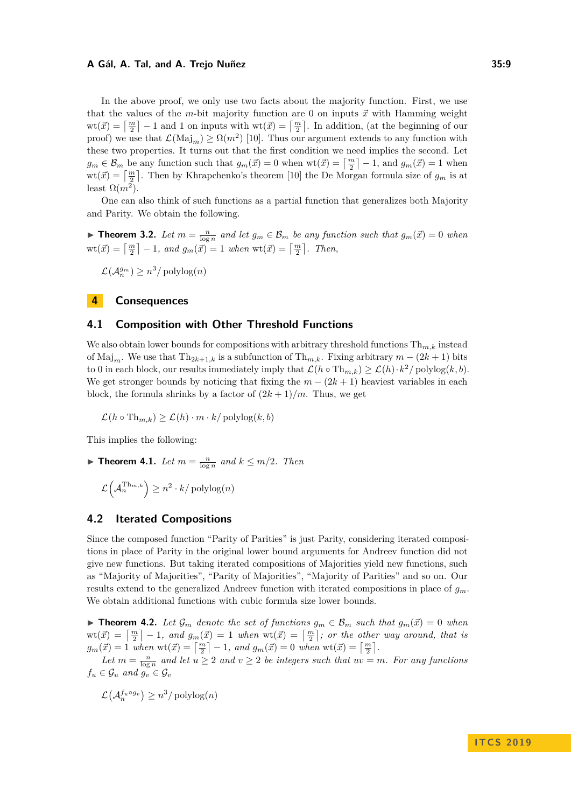In the above proof, we only use two facts about the majority function. First, we use that the values of the *m*-bit majority function are 0 on inputs  $\vec{x}$  with Hamming weight  $\text{wt}(\vec{x}) = \left\lceil \frac{m}{2} \right\rceil - 1$  and 1 on inputs with  $\text{wt}(\vec{x}) = \left\lceil \frac{m}{2} \right\rceil$ . In addition, (at the beginning of our proof) we use that  $\mathcal{L}(\text{Maj}_m) \geq \Omega(m^2)$  [\[10\]](#page-12-2). Thus our argument extends to any function with these two properties. It turns out that the first condition we need implies the second. Let  $g_m \in \mathcal{B}_m$  be any function such that  $g_m(\vec{x}) = 0$  when  $\text{wt}(\vec{x}) = \left\lceil \frac{m}{2} \right\rceil - 1$ , and  $g_m(\vec{x}) = 1$  when  $wt(\vec{x}) = \lceil \frac{m}{2} \rceil$ . Then by Khrapchenko's theorem [\[10\]](#page-12-2) the De Morgan formula size of  $g_m$  is at least  $\Omega(m^2)$ .

One can also think of such functions as a partial function that generalizes both Majority and Parity. We obtain the following.

**Findment 3.2.** Let  $m = \frac{n}{\log n}$  and let  $g_m \in \mathcal{B}_m$  be any function such that  $g_m(\vec{x}) = 0$  when  $\text{wt}(\vec{x}) = \left\lceil \frac{m}{2} \right\rceil - 1$ , and  $g_m(\vec{x}) = 1$  when  $\text{wt}(\vec{x}) = \left\lceil \frac{m}{2} \right\rceil$ . Then,

 $\mathcal{L}(\mathcal{A}_n^{g_m}) \geq n^3/\operatorname{polylog}(n)$ 

# **4 Consequences**

### **4.1 Composition with Other Threshold Functions**

We also obtain lower bounds for compositions with arbitrary threshold functions  $\text{Th}_{m,k}$  instead of Maj<sub>m</sub>. We use that  $Th_{2k+1,k}$  is a subfunction of  $Th_{m,k}$ . Fixing arbitrary  $m - (2k + 1)$  bits to 0 in each block, our results immediately imply that  $\mathcal{L}(h \circ Th_{m,k}) \ge \mathcal{L}(h) \cdot k^2 / \text{polylog}(k, b)$ . We get stronger bounds by noticing that fixing the  $m - (2k + 1)$  heaviest variables in each block, the formula shrinks by a factor of  $(2k+1)/m$ . Thus, we get

$$
\mathcal{L}(h \circ \text{Th}_{m,k}) \ge \mathcal{L}(h) \cdot m \cdot k / \text{polylog}(k, b)
$$

This implies the following:

▶ **Theorem 4.1.** *Let*  $m = \frac{n}{\log n}$  and  $k \leq m/2$ *. Then* 

$$
\mathcal{L}\left(\mathcal{A}^{\operatorname{Th}_{m,k}}_n\right) \geq n^2 \cdot k / \operatorname{polylog}(n)
$$

# **4.2 Iterated Compositions**

Since the composed function "Parity of Parities" is just Parity, considering iterated compositions in place of Parity in the original lower bound arguments for Andreev function did not give new functions. But taking iterated compositions of Majorities yield new functions, such as "Majority of Majorities", "Parity of Majorities", "Majority of Parities" and so on. Our results extend to the generalized Andreev function with iterated compositions in place of *gm*. We obtain additional functions with cubic formula size lower bounds.

▶ **Theorem 4.2.** Let  $\mathcal{G}_m$  denote the set of functions  $g_m \in \mathcal{B}_m$  such that  $g_m(\vec{x}) = 0$  when  $\text{wt}(\vec{x}) = \left\lceil \frac{m}{2} \right\rceil - 1$ , and  $g_m(\vec{x}) = 1$  when  $\text{wt}(\vec{x}) = \left\lceil \frac{m}{2} \right\rceil$ ; or the other way around, that is  $g_m(\vec{x}) = 1$  *when*  $\text{wt}(\vec{x}) = \left[\frac{m}{2}\right] - 1$ *, and*  $g_m(\vec{x}) = 0$  *when*  $\text{wt}(\vec{x}) = \left[\frac{m}{2}\right]$ *.* 

Let  $m = \frac{n}{\log n}$  and let  $u \geq 2$  and  $v \geq 2$  be integers such that  $uv = m$ . For any functions  $f_u \in \mathcal{G}_u$  *and*  $g_v \in \mathcal{G}_v$ 

$$
\mathcal{L}(\mathcal{A}_n^{f_u \circ g_v}) \ge n^3 / \mathrm{polylog}(n)
$$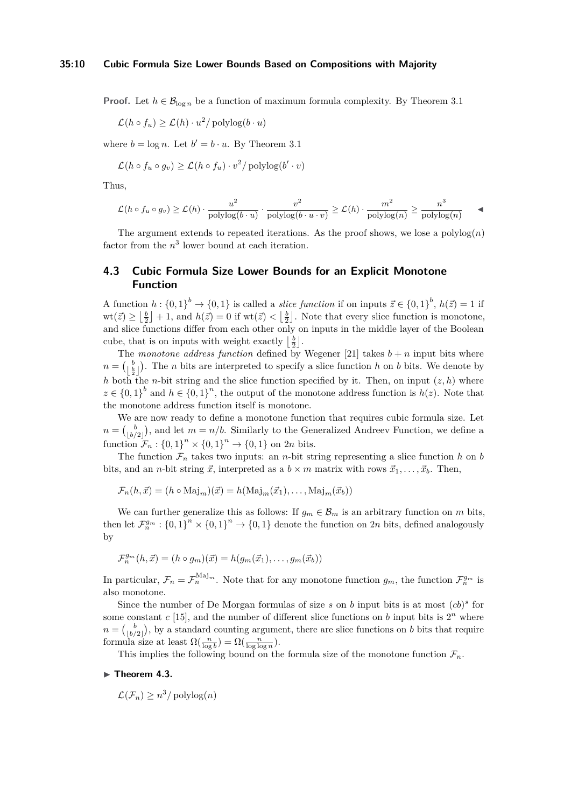#### **35:10 Cubic Formula Size Lower Bounds Based on Compositions with Majority**

**Proof.** Let  $h \in \mathcal{B}_{\log n}$  be a function of maximum formula complexity. By Theorem [3.1](#page-5-0)

$$
\mathcal{L}(h \circ f_u) \ge \mathcal{L}(h) \cdot u^2 / \mathrm{polylog}(b \cdot u)
$$

where  $b = \log n$ . Let  $b' = b \cdot u$ . By Theorem [3.1](#page-5-0)

$$
\mathcal{L}(h \circ f_u \circ g_v) \ge \mathcal{L}(h \circ f_u) \cdot v^2 / \mathrm{polylog}(b' \cdot v)
$$

Thus,

$$
\mathcal{L}(h \circ f_u \circ g_v) \ge \mathcal{L}(h) \cdot \frac{u^2}{\text{polylog}(b \cdot u)} \cdot \frac{v^2}{\text{polylog}(b \cdot u \cdot v)} \ge \mathcal{L}(h) \cdot \frac{m^2}{\text{polylog}(n)} \ge \frac{n^3}{\text{polylog}(n)} \quad \blacktriangleleft
$$

The argument extends to repeated iterations. As the proof shows, we lose a  $polylog(n)$ factor from the  $n^3$  lower bound at each iteration.

# **4.3 Cubic Formula Size Lower Bounds for an Explicit Monotone Function**

A function  $h: \{0,1\}^b \to \{0,1\}$  is called a *slice function* if on inputs  $\vec{z} \in \{0,1\}^b$ ,  $h(\vec{z}) = 1$  if  $\text{wt}(\vec{z}) \geq \left\lfloor \frac{b}{2} \right\rfloor + 1$ , and  $h(\vec{z}) = 0$  if  $\text{wt}(\vec{z}) < \left\lfloor \frac{b}{2} \right\rfloor$ . Note that every slice function is monotone, and slice functions differ from each other only on inputs in the middle layer of the Boolean cube, that is on inputs with weight exactly  $\lfloor \frac{b}{2} \rfloor$ .

The *monotone address function* defined by Wegener [\[21\]](#page-12-8) takes  $b + n$  input bits where  $n = \begin{pmatrix} b \\ \frac{b}{2} \end{pmatrix}$ . The *n* bits are interpreted to specify a slice function *h* on *b* bits. We denote by *h* both the *n*-bit string and the slice function specified by it. Then, on input  $(z, h)$  where  $z \in \{0,1\}^b$  and  $h \in \{0,1\}^n$ , the output of the monotone address function is  $h(z)$ . Note that the monotone address function itself is monotone.

We are now ready to define a monotone function that requires cubic formula size. Let  $n = \binom{b}{\lfloor b/2 \rfloor}$ , and let  $m = n/b$ . Similarly to the Generalized Andreev Function, we define a function  $\mathcal{F}_n : \{0,1\}^n \times \{0,1\}^n \to \{0,1\}$  on 2*n* bits.

The function  $\mathcal{F}_n$  takes two inputs: an *n*-bit string representing a slice function *h* on *b* bits, and an *n*-bit string  $\vec{x}$ , interpreted as a  $b \times m$  matrix with rows  $\vec{x}_1, \ldots, \vec{x}_b$ . Then,

$$
\mathcal{F}_n(h, \vec{x}) = (h \circ \text{Maj}_m)(\vec{x}) = h(\text{Maj}_m(\vec{x}_1), \dots, \text{Maj}_m(\vec{x}_b))
$$

We can further generalize this as follows: If  $g_m \in \mathcal{B}_m$  is an arbitrary function on *m* bits, then let  $\mathcal{F}_n^{g_m}$ :  $\{0,1\}^n \times \{0,1\}^n \to \{0,1\}$  denote the function on 2*n* bits, defined analogously by

$$
\mathcal{F}_n^{g_m}(h,\vec{x}) = (h \circ g_m)(\vec{x}) = h(g_m(\vec{x}_1), \dots, g_m(\vec{x}_b))
$$

In particular,  $\mathcal{F}_n = \mathcal{F}_n^{\text{Maj}_m}$ . Note that for any monotone function  $g_m$ , the function  $\mathcal{F}_n^{g_m}$  is also monotone.

Since the number of De Morgan formulas of size  $s$  on  $b$  input bits is at most  $(cb)^s$  for some constant  $c$  [\[15\]](#page-12-12), and the number of different slice functions on  $b$  input bits is  $2<sup>n</sup>$  where  $n = \binom{b}{\lfloor b/2 \rfloor}$ , by a standard counting argument, there are slice functions on *b* bits that require formula size at least  $\Omega(\frac{n}{\log b}) = \Omega(\frac{n}{\log \log n}).$ 

This implies the following bound on the formula size of the monotone function  $\mathcal{F}_n$ .

#### ▶ Theorem 4.3.

$$
\mathcal{L}(\mathcal{F}_n) \ge n^3 / \mathrm{polylog}(n)
$$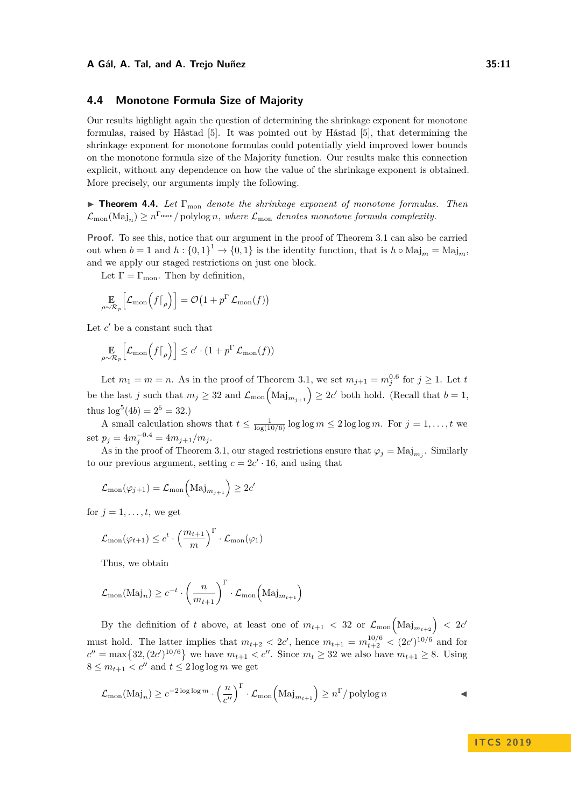### **4.4 Monotone Formula Size of Majority**

Our results highlight again the question of determining the shrinkage exponent for monotone formulas, raised by Håstad [\[5\]](#page-11-2). It was pointed out by Håstad [\[5\]](#page-11-2), that determining the shrinkage exponent for monotone formulas could potentially yield improved lower bounds on the monotone formula size of the Majority function. Our results make this connection explicit, without any dependence on how the value of the shrinkage exponent is obtained. More precisely, our arguments imply the following.

I **Theorem 4.4.** *Let* Γmon *denote the shrinkage exponent of monotone formulas. Then*  $\mathcal{L}_{\text{mon}}(\text{Maj}_n) \ge n^{\Gamma_{\text{mon}}} / \text{polylog } n$ , where  $\mathcal{L}_{\text{mon}}$  denotes monotone formula complexity.

**Proof.** To see this, notice that our argument in the proof of Theorem [3.1](#page-5-0) can also be carried out when  $b = 1$  and  $h : \{0,1\}^1 \to \{0,1\}$  is the identity function, that is  $h \circ \text{Maj}_m = \text{Maj}_m$ , and we apply our staged restrictions on just one block.

Let  $\Gamma = \Gamma_{\text{mon}}$ . Then by definition,

$$
\mathop{\mathbb{E}}_{\rho \sim \mathcal{R}_p} \left[ \mathcal{L}_{\text{mon}} \left( f \big|_{\rho} \right) \right] = \mathcal{O} \left( 1 + p^{\Gamma} \mathcal{L}_{\text{mon}}(f) \right)
$$

Let  $c'$  be a constant such that

$$
\mathop{\mathbb{E}}_{\rho \sim \mathcal{R}_p} \left[ \mathcal{L}_{\text{mon}} \left( f \big|_{\rho} \right) \right] \leq c' \cdot \left( 1 + p^{\Gamma} \mathcal{L}_{\text{mon}}(f) \right)
$$

Let  $m_1 = m = n$ . As in the proof of Theorem [3.1,](#page-5-0) we set  $m_{j+1} = m_j^{0.6}$  for  $j \ge 1$ . Let *t* be the last *j* such that  $m_j \geq 32$  and  $\mathcal{L}_{\text{mon}}\left(\text{Maj}_{m_{j+1}}\right) \geq 2c'$  both hold. (Recall that  $b = 1$ , thus  $\log^5(4b) = 2^5 = 32.$ 

A small calculation shows that  $t \leq \frac{1}{\log(10/6)} \log \log m \leq 2 \log \log m$ . For  $j = 1, \ldots, t$  we set  $p_j = 4m_j^{-0.4} = 4m_{j+1}/m_j$ .

As in the proof of Theorem [3.1,](#page-5-0) our staged restrictions ensure that  $\varphi_j = \text{Maj}_{m_j}$ . Similarly to our previous argument, setting  $c = 2c' \cdot 16$ , and using that

$$
\mathcal{L}_{\text{mon}}(\varphi_{j+1}) = \mathcal{L}_{\text{mon}}\left(\text{Maj}_{m_{j+1}}\right) \ge 2c'
$$

for  $j = 1, \ldots, t$ , we get

$$
\mathcal{L}_{\text{mon}}(\varphi_{t+1}) \leq c^t \cdot \left(\frac{m_{t+1}}{m}\right)^{\Gamma} \cdot \mathcal{L}_{\text{mon}}(\varphi_1)
$$

Thus, we obtain

$$
\mathcal{L}_{\text{mon}}(\text{Maj}_n) \ge c^{-t} \cdot \left(\frac{n}{m_{t+1}}\right)^{\Gamma} \cdot \mathcal{L}_{\text{mon}}(\text{Maj}_{m_{t+1}})
$$

By the definition of *t* above, at least one of  $m_{t+1}$  < 32 or  $\mathcal{L}_{\text{mon}}\left(\text{Maj}_{m_{t+2}}\right)$  < 2*c*<sup>*t*</sup> must hold. The latter implies that  $m_{t+2} < 2c'$ , hence  $m_{t+1} = m_{t+2}^{10/6} < (2c')^{10/6}$  and for  $c'' = \max\{32, (2c')^{10/6}\}\$ we have  $m_{t+1} < c''$ . Since  $m_t \ge 32$  we also have  $m_{t+1} \ge 8$ . Using  $8 \leq m_{t+1} < c''$  and  $t \leq 2 \log \log m$  we get

$$
\mathcal{L}_{\text{mon}}(\text{Maj}_n) \ge c^{-2\log\log m} \cdot \left(\frac{n}{c''}\right)^{\Gamma} \cdot \mathcal{L}_{\text{mon}}\left(\text{Maj}_{m_{t+1}}\right) \ge n^{\Gamma}/\text{polylog } n
$$

**I T C S 2 0 1 9**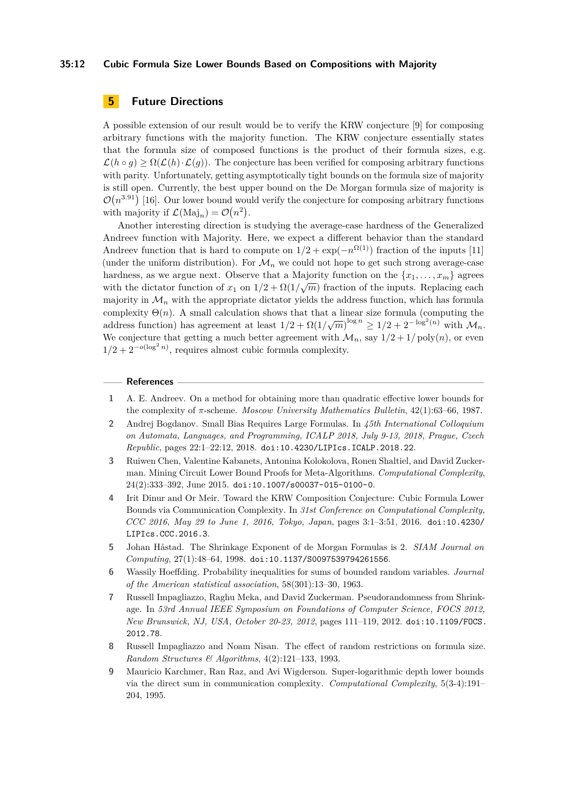#### **35:12 Cubic Formula Size Lower Bounds Based on Compositions with Majority**

# <span id="page-11-7"></span>**5 Future Directions**

A possible extension of our result would be to verify the KRW conjecture [\[9\]](#page-11-6) for composing arbitrary functions with the majority function. The KRW conjecture essentially states that the formula size of composed functions is the product of their formula sizes, e.g.  $\mathcal{L}(h \circ g) \geq \Omega(\mathcal{L}(h) \cdot \mathcal{L}(g))$ . The conjecture has been verified for composing arbitrary functions with parity. Unfortunately, getting asymptotically tight bounds on the formula size of majority is still open. Currently, the best upper bound on the De Morgan formula size of majority is  $\mathcal{O}(n^{3.91})$  [\[16\]](#page-12-10). Our lower bound would verify the conjecture for composing arbitrary functions with majority if  $\mathcal{L}(\text{Maj}_n) = \mathcal{O}(n^2)$ .

Another interesting direction is studying the average-case hardness of the Generalized Andreev function with Majority. Here, we expect a different behavior than the standard Andreev function that is hard to compute on  $1/2 + \exp(-n^{\Omega(1)})$  fraction of the inputs [\[11\]](#page-12-6) (under the uniform distribution). For  $\mathcal{M}_n$  we could not hope to get such strong average-case hardness, as we argue next. Observe that a Majority function on the  $\{x_1, \ldots, x_m\}$  agrees with the dictator function of  $x_1$  on  $1/2 + \Omega(1/\sqrt{m})$  fraction of the inputs. Replacing each majority in  $\mathcal{M}_n$  with the appropriate dictator yields the address function, which has formula complexity  $\Theta(n)$ . A small calculation shows that that a linear size formula (computing the address function) has agreement at least  $1/2 + \Omega(1/\sqrt{m})^{\log n} \ge 1/2 + 2^{-\log^2(n)}$  with  $\mathcal{M}_n$ . We conjecture that getting a much better agreement with  $\mathcal{M}_n$ , say  $1/2 + 1/\text{poly}(n)$ , or even  $1/2 + 2^{-o(\log^2 n)}$ , requires almost cubic formula complexity.

#### **References**

- <span id="page-11-0"></span>**1** A. E. Andreev. On a method for obtaining more than quadratic effective lower bounds for the complexity of *π*-scheme. *Moscow University Mathematics Bulletin*, 42(1):63–66, 1987.
- <span id="page-11-3"></span>**2** Andrej Bogdanov. Small Bias Requires Large Formulas. In *45th International Colloquium on Automata, Languages, and Programming, ICALP 2018, July 9-13, 2018, Prague, Czech Republic*, pages 22:1–22:12, 2018. [doi:10.4230/LIPIcs.ICALP.2018.22](http://dx.doi.org/10.4230/LIPIcs.ICALP.2018.22).
- <span id="page-11-4"></span>**3** Ruiwen Chen, Valentine Kabanets, Antonina Kolokolova, Ronen Shaltiel, and David Zuckerman. Mining Circuit Lower Bound Proofs for Meta-Algorithms. *Computational Complexity*, 24(2):333–392, June 2015. [doi:10.1007/s00037-015-0100-0](http://dx.doi.org/10.1007/s00037-015-0100-0).
- <span id="page-11-5"></span>**4** Irit Dinur and Or Meir. Toward the KRW Composition Conjecture: Cubic Formula Lower Bounds via Communication Complexity. In *31st Conference on Computational Complexity, CCC 2016, May 29 to June 1, 2016, Tokyo, Japan*, pages 3:1–3:51, 2016. [doi:10.4230/](http://dx.doi.org/10.4230/LIPIcs.CCC.2016.3) [LIPIcs.CCC.2016.3](http://dx.doi.org/10.4230/LIPIcs.CCC.2016.3).
- <span id="page-11-2"></span>**5** Johan Håstad. The Shrinkage Exponent of de Morgan Formulas is 2. *SIAM Journal on Computing*, 27(1):48–64, 1998. [doi:10.1137/S0097539794261556](http://dx.doi.org/10.1137/S0097539794261556).
- <span id="page-11-9"></span>**6** Wassily Hoeffding. Probability inequalities for sums of bounded random variables. *Journal of the American statistical association*, 58(301):13–30, 1963.
- <span id="page-11-8"></span>**7** Russell Impagliazzo, Raghu Meka, and David Zuckerman. Pseudorandomness from Shrinkage. In *53rd Annual IEEE Symposium on Foundations of Computer Science, FOCS 2012, New Brunswick, NJ, USA, October 20-23, 2012*, pages 111–119, 2012. [doi:10.1109/FOCS.](http://dx.doi.org/10.1109/FOCS.2012.78) [2012.78](http://dx.doi.org/10.1109/FOCS.2012.78).
- <span id="page-11-1"></span>**8** Russell Impagliazzo and Noam Nisan. The effect of random restrictions on formula size. *Random Structures & Algorithms*, 4(2):121–133, 1993.
- <span id="page-11-6"></span>**9** Mauricio Karchmer, Ran Raz, and Avi Wigderson. Super-logarithmic depth lower bounds via the direct sum in communication complexity. *Computational Complexity*, 5(3-4):191– 204, 1995.